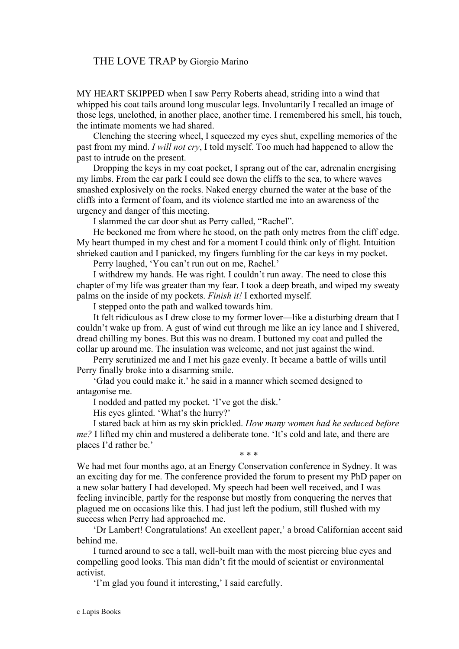## THE LOVE TRAP by Giorgio Marino

MY HEART SKIPPED when I saw Perry Roberts ahead, striding into a wind that whipped his coat tails around long muscular legs. Involuntarily I recalled an image of those legs, unclothed, in another place, another time. I remembered his smell, his touch, the intimate moments we had shared.

Clenching the steering wheel, I squeezed my eyes shut, expelling memories of the past from my mind. *I will not cry*, I told myself. Too much had happened to allow the past to intrude on the present.

Dropping the keys in my coat pocket. I sprang out of the car, adrenalin energising my limbs. From the car park I could see down the cliffs to the sea, to where waves smashed explosively on the rocks. Naked energy churned the water at the base of the cliffs into a ferment of foam, and its violence startled me into an awareness of the urgency and danger of this meeting.

I slammed the car door shut as Perry called, "Rachel".

He beckoned me from where he stood, on the path only metres from the cliff edge. My heart thumped in my chest and for a moment I could think only of flight. Intuition shrieked caution and I panicked, my fingers fumbling for the car keys in my pocket.

Perry laughed, 'You can't run out on me, Rachel.'

I withdrew my hands. He was right. I couldn't run away. The need to close this chapter of my life was greater than my fear. I took a deep breath, and wiped my sweaty palms on the inside of my pockets. *Finish it!* I exhorted myself.

I stepped onto the path and walked towards him.

It felt ridiculous as I drew close to my former lover—like a disturbing dream that I couldn't wake up from. A gust of wind cut through me like an icy lance and I shivered, dread chilling my bones. But this was no dream. I buttoned my coat and pulled the collar up around me. The insulation was welcome, and not just against the wind.

Perry scrutinized me and I met his gaze evenly. It became a battle of wills until Perry finally broke into a disarming smile.

'Glad you could make it.' he said in a manner which seemed designed to antagonise me.

I nodded and patted my pocket. 'I've got the disk.'

His eyes glinted. 'What's the hurry?'

I stared back at him as my skin prickled. *How many women had he seduced before me?* I lifted my chin and mustered a deliberate tone. 'It's cold and late, and there are places I'd rather be.' \* \* \*

We had met four months ago, at an Energy Conservation conference in Sydney. It was an exciting day for me. The conference provided the forum to present my PhD paper on a new solar battery I had developed. My speech had been well received, and I was feeling invincible, partly for the response but mostly from conquering the nerves that plagued me on occasions like this. I had just left the podium, still flushed with my success when Perry had approached me.

'Dr Lambert! Congratulations! An excellent paper,' a broad Californian accent said behind me.

I turned around to see a tall, well-built man with the most piercing blue eyes and compelling good looks. This man didn't fit the mould of scientist or environmental activist.

'I'm glad you found it interesting,' I said carefully.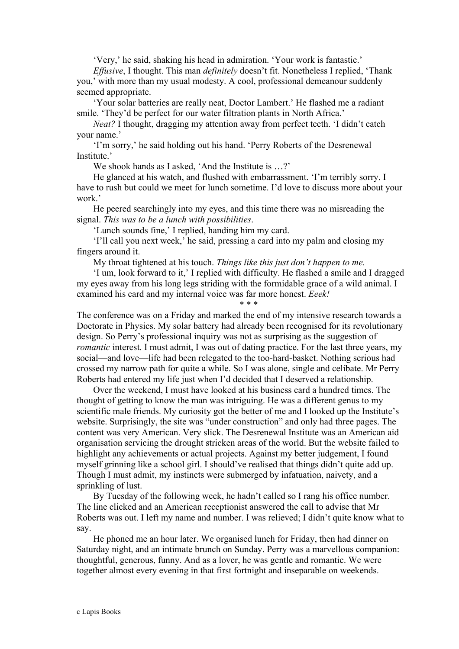'Very,' he said, shaking his head in admiration. 'Your work is fantastic.'

*Effusive*, I thought. This man *definitely* doesn't fit. Nonetheless I replied, 'Thank you,' with more than my usual modesty. A cool, professional demeanour suddenly seemed appropriate.

'Your solar batteries are really neat, Doctor Lambert.' He flashed me a radiant smile. 'They'd be perfect for our water filtration plants in North Africa.'

*Neat?* I thought, dragging my attention away from perfect teeth. 'I didn't catch your name.'

'I'm sorry,' he said holding out his hand. 'Perry Roberts of the Desrenewal Institute.'

We shook hands as I asked, 'And the Institute is ...?'

He glanced at his watch, and flushed with embarrassment. 'I'm terribly sorry. I have to rush but could we meet for lunch sometime. I'd love to discuss more about your work.'

He peered searchingly into my eyes, and this time there was no misreading the signal. *This was to be a lunch with possibilities*.

'Lunch sounds fine,' I replied, handing him my card.

'I'll call you next week,' he said, pressing a card into my palm and closing my fingers around it.

My throat tightened at his touch. *Things like this just don't happen to me.*

'I um, look forward to it,' I replied with difficulty. He flashed a smile and I dragged my eyes away from his long legs striding with the formidable grace of a wild animal. I examined his card and my internal voice was far more honest. *Eeek!*

\* \* \*

The conference was on a Friday and marked the end of my intensive research towards a Doctorate in Physics. My solar battery had already been recognised for its revolutionary design. So Perry's professional inquiry was not as surprising as the suggestion of *romantic* interest. I must admit, I was out of dating practice. For the last three years, my social—and love—life had been relegated to the too-hard-basket. Nothing serious had crossed my narrow path for quite a while. So I was alone, single and celibate. Mr Perry Roberts had entered my life just when I'd decided that I deserved a relationship.

Over the weekend, I must have looked at his business card a hundred times. The thought of getting to know the man was intriguing. He was a different genus to my scientific male friends. My curiosity got the better of me and I looked up the Institute's website. Surprisingly, the site was "under construction" and only had three pages. The content was very American. Very slick. The Desrenewal Institute was an American aid organisation servicing the drought stricken areas of the world. But the website failed to highlight any achievements or actual projects. Against my better judgement, I found myself grinning like a school girl. I should've realised that things didn't quite add up. Though I must admit, my instincts were submerged by infatuation, naivety, and a sprinkling of lust.

By Tuesday of the following week, he hadn't called so I rang his office number. The line clicked and an American receptionist answered the call to advise that Mr Roberts was out. I left my name and number. I was relieved; I didn't quite know what to say.

He phoned me an hour later. We organised lunch for Friday, then had dinner on Saturday night, and an intimate brunch on Sunday. Perry was a marvellous companion: thoughtful, generous, funny. And as a lover, he was gentle and romantic. We were together almost every evening in that first fortnight and inseparable on weekends.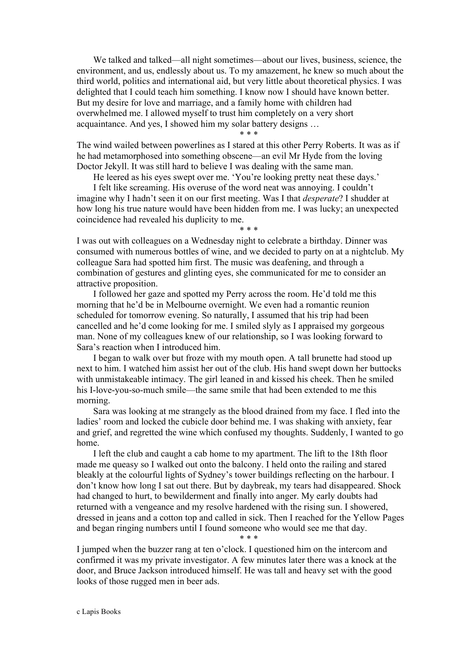We talked and talked—all night sometimes—about our lives, business, science, the environment, and us, endlessly about us. To my amazement, he knew so much about the third world, politics and international aid, but very little about theoretical physics. I was delighted that I could teach him something. I know now I should have known better. But my desire for love and marriage, and a family home with children had overwhelmed me. I allowed myself to trust him completely on a very short acquaintance. And yes, I showed him my solar battery designs …

## \* \* \*

The wind wailed between powerlines as I stared at this other Perry Roberts. It was as if he had metamorphosed into something obscene—an evil Mr Hyde from the loving Doctor Jekyll. It was still hard to believe I was dealing with the same man.

He leered as his eyes swept over me. 'You're looking pretty neat these days.'

I felt like screaming. His overuse of the word neat was annoying. I couldn't imagine why I hadn't seen it on our first meeting. Was I that *desperate*? I shudder at how long his true nature would have been hidden from me. I was lucky; an unexpected coincidence had revealed his duplicity to me. \* \* \*

I was out with colleagues on a Wednesday night to celebrate a birthday. Dinner was consumed with numerous bottles of wine, and we decided to party on at a nightclub. My colleague Sara had spotted him first. The music was deafening, and through a combination of gestures and glinting eyes, she communicated for me to consider an attractive proposition.

I followed her gaze and spotted my Perry across the room. He'd told me this morning that he'd be in Melbourne overnight. We even had a romantic reunion scheduled for tomorrow evening. So naturally, I assumed that his trip had been cancelled and he'd come looking for me. I smiled slyly as I appraised my gorgeous man. None of my colleagues knew of our relationship, so I was looking forward to Sara's reaction when I introduced him.

I began to walk over but froze with my mouth open. A tall brunette had stood up next to him. I watched him assist her out of the club. His hand swept down her buttocks with unmistakeable intimacy. The girl leaned in and kissed his cheek. Then he smiled his I-love-you-so-much smile—the same smile that had been extended to me this morning.

Sara was looking at me strangely as the blood drained from my face. I fled into the ladies' room and locked the cubicle door behind me. I was shaking with anxiety, fear and grief, and regretted the wine which confused my thoughts. Suddenly, I wanted to go home.

I left the club and caught a cab home to my apartment. The lift to the 18th floor made me queasy so I walked out onto the balcony. I held onto the railing and stared bleakly at the colourful lights of Sydney's tower buildings reflecting on the harbour. I don't know how long I sat out there. But by daybreak, my tears had disappeared. Shock had changed to hurt, to bewilderment and finally into anger. My early doubts had returned with a vengeance and my resolve hardened with the rising sun. I showered, dressed in jeans and a cotton top and called in sick. Then I reached for the Yellow Pages and began ringing numbers until I found someone who would see me that day. \* \* \*

I jumped when the buzzer rang at ten o'clock. I questioned him on the intercom and confirmed it was my private investigator. A few minutes later there was a knock at the door, and Bruce Jackson introduced himself. He was tall and heavy set with the good looks of those rugged men in beer ads.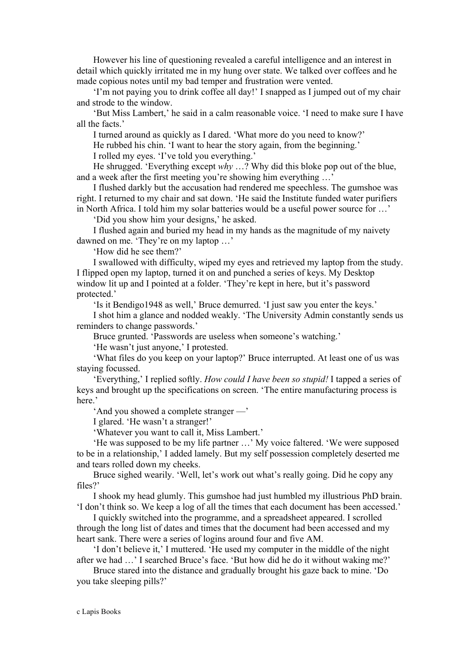However his line of questioning revealed a careful intelligence and an interest in detail which quickly irritated me in my hung over state. We talked over coffees and he made copious notes until my bad temper and frustration were vented.

'I'm not paying you to drink coffee all day!' I snapped as I jumped out of my chair and strode to the window.

'But Miss Lambert,' he said in a calm reasonable voice. 'I need to make sure I have all the facts.'

I turned around as quickly as I dared. 'What more do you need to know?'

He rubbed his chin. 'I want to hear the story again, from the beginning.'

I rolled my eyes. 'I've told you everything.'

He shrugged. 'Everything except *why* …? Why did this bloke pop out of the blue, and a week after the first meeting you're showing him everything …'

I flushed darkly but the accusation had rendered me speechless. The gumshoe was right. I returned to my chair and sat down. 'He said the Institute funded water purifiers in North Africa. I told him my solar batteries would be a useful power source for …'

'Did you show him your designs,' he asked.

I flushed again and buried my head in my hands as the magnitude of my naivety dawned on me. 'They're on my laptop …'

'How did he see them?'

I swallowed with difficulty, wiped my eyes and retrieved my laptop from the study. I flipped open my laptop, turned it on and punched a series of keys. My Desktop window lit up and I pointed at a folder. 'They're kept in here, but it's password protected.'

'Is it Bendigo1948 as well,' Bruce demurred. 'I just saw you enter the keys.'

I shot him a glance and nodded weakly. 'The University Admin constantly sends us reminders to change passwords.'

Bruce grunted. 'Passwords are useless when someone's watching.'

'He wasn't just anyone,' I protested.

'What files do you keep on your laptop?' Bruce interrupted. At least one of us was staying focussed.

'Everything,' I replied softly. *How could I have been so stupid!* I tapped a series of keys and brought up the specifications on screen. 'The entire manufacturing process is here.'

'And you showed a complete stranger —'

I glared. 'He wasn't a stranger!'

'Whatever you want to call it, Miss Lambert.'

'He was supposed to be my life partner …' My voice faltered. 'We were supposed to be in a relationship,' I added lamely. But my self possession completely deserted me and tears rolled down my cheeks.

Bruce sighed wearily. 'Well, let's work out what's really going. Did he copy any files?'

I shook my head glumly. This gumshoe had just humbled my illustrious PhD brain. 'I don't think so. We keep a log of all the times that each document has been accessed.'

I quickly switched into the programme, and a spreadsheet appeared. I scrolled through the long list of dates and times that the document had been accessed and my heart sank. There were a series of logins around four and five AM.

'I don't believe it,' I muttered. 'He used my computer in the middle of the night after we had …' I searched Bruce's face. 'But how did he do it without waking me?'

Bruce stared into the distance and gradually brought his gaze back to mine. 'Do you take sleeping pills?'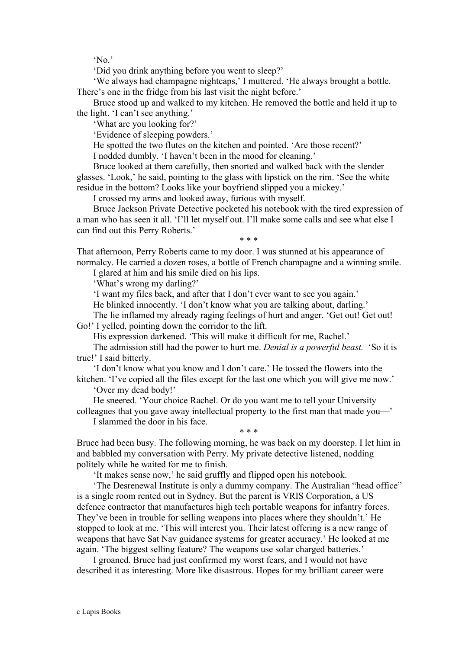'No.'

'Did you drink anything before you went to sleep?'

'We always had champagne nightcaps,' I muttered. 'He always brought a bottle. There's one in the fridge from his last visit the night before.'

Bruce stood up and walked to my kitchen. He removed the bottle and held it up to the light. 'I can't see anything.'

'What are you looking for?'

'Evidence of sleeping powders.'

He spotted the two flutes on the kitchen and pointed. 'Are those recent?'

I nodded dumbly. 'I haven't been in the mood for cleaning.'

Bruce looked at them carefully, then snorted and walked back with the slender glasses. 'Look,' he said, pointing to the glass with lipstick on the rim. 'See the white residue in the bottom? Looks like your boyfriend slipped you a mickey.'

I crossed my arms and looked away, furious with myself.

Bruce Jackson Private Detective pocketed his notebook with the tired expression of a man who has seen it all. 'I'll let myself out. I'll make some calls and see what else I can find out this Perry Roberts.'

\* \* \*

That afternoon, Perry Roberts came to my door. I was stunned at his appearance of normalcy. He carried a dozen roses, a bottle of French champagne and a winning smile.

I glared at him and his smile died on his lips.

'What's wrong my darling?'

'I want my files back, and after that I don't ever want to see you again.'

He blinked innocently. 'I don't know what you are talking about, darling.'

The lie inflamed my already raging feelings of hurt and anger. 'Get out! Get out! Go!' I yelled, pointing down the corridor to the lift.

His expression darkened. 'This will make it difficult for me, Rachel.'

The admission still had the power to hurt me. *Denial is a powerful beast.* 'So it is true!' I said bitterly.

'I don't know what you know and I don't care.' He tossed the flowers into the kitchen. 'I've copied all the files except for the last one which you will give me now.'

'Over my dead body!'

He sneered. 'Your choice Rachel. Or do you want me to tell your University colleagues that you gave away intellectual property to the first man that made you—'

I slammed the door in his face.

Bruce had been busy. The following morning, he was back on my doorstep. I let him in and babbled my conversation with Perry. My private detective listened, nodding politely while he waited for me to finish.

\* \* \*

'It makes sense now,' he said gruffly and flipped open his notebook.

'The Desrenewal Institute is only a dummy company. The Australian "head office" is a single room rented out in Sydney. But the parent is VRIS Corporation, a US defence contractor that manufactures high tech portable weapons for infantry forces. They've been in trouble for selling weapons into places where they shouldn't.' He stopped to look at me. 'This will interest you. Their latest offering is a new range of weapons that have Sat Nav guidance systems for greater accuracy.' He looked at me again. 'The biggest selling feature? The weapons use solar charged batteries.'

I groaned. Bruce had just confirmed my worst fears, and I would not have described it as interesting. More like disastrous. Hopes for my brilliant career were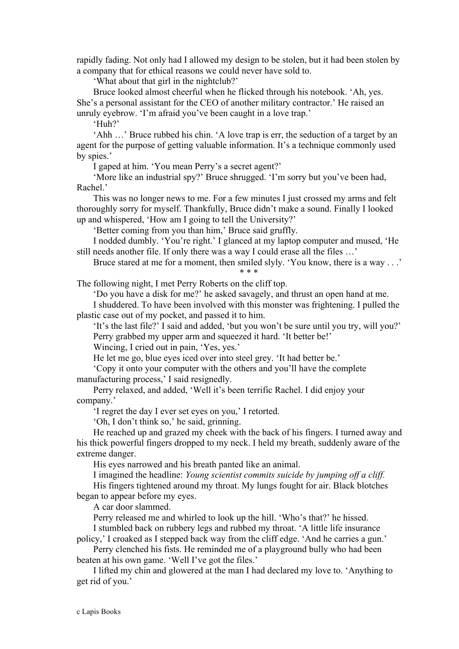rapidly fading. Not only had I allowed my design to be stolen, but it had been stolen by a company that for ethical reasons we could never have sold to.

'What about that girl in the nightclub?'

Bruce looked almost cheerful when he flicked through his notebook. 'Ah, yes. She's a personal assistant for the CEO of another military contractor.' He raised an unruly eyebrow. 'I'm afraid you've been caught in a love trap.'

'Huh?'

'Ahh …' Bruce rubbed his chin. 'A love trap is err, the seduction of a target by an agent for the purpose of getting valuable information. It's a technique commonly used by spies.'

I gaped at him. 'You mean Perry's a secret agent?'

'More like an industrial spy?' Bruce shrugged. 'I'm sorry but you've been had, Rachel.'

This was no longer news to me. For a few minutes I just crossed my arms and felt thoroughly sorry for myself. Thankfully, Bruce didn't make a sound. Finally I looked up and whispered, 'How am I going to tell the University?'

'Better coming from you than him,' Bruce said gruffly.

I nodded dumbly. 'You're right.' I glanced at my laptop computer and mused, 'He still needs another file. If only there was a way I could erase all the files …'

Bruce stared at me for a moment, then smiled slyly. 'You know, there is a way . . .' \* \* \*

The following night, I met Perry Roberts on the cliff top.

'Do you have a disk for me?' he asked savagely, and thrust an open hand at me.

I shuddered. To have been involved with this monster was frightening. I pulled the plastic case out of my pocket, and passed it to him.

'It's the last file?' I said and added, 'but you won't be sure until you try, will you?' Perry grabbed my upper arm and squeezed it hard. 'It better be!'

Wincing, I cried out in pain, 'Yes, yes.'

He let me go, blue eyes iced over into steel grey. 'It had better be.'

'Copy it onto your computer with the others and you'll have the complete manufacturing process,' I said resignedly.

Perry relaxed, and added, 'Well it's been terrific Rachel. I did enjoy your company.'

'I regret the day I ever set eyes on you,' I retorted.

'Oh, I don't think so,' he said, grinning.

He reached up and grazed my cheek with the back of his fingers. I turned away and his thick powerful fingers dropped to my neck. I held my breath, suddenly aware of the extreme danger.

His eyes narrowed and his breath panted like an animal.

I imagined the headline: *Young scientist commits suicide by jumping off a cliff.*

His fingers tightened around my throat. My lungs fought for air. Black blotches began to appear before my eyes.

A car door slammed.

Perry released me and whirled to look up the hill. 'Who's that?' he hissed.

I stumbled back on rubbery legs and rubbed my throat. 'A little life insurance

policy,' I croaked as I stepped back way from the cliff edge. 'And he carries a gun.' Perry clenched his fists. He reminded me of a playground bully who had been beaten at his own game. 'Well I've got the files.'

I lifted my chin and glowered at the man I had declared my love to. 'Anything to get rid of you.'